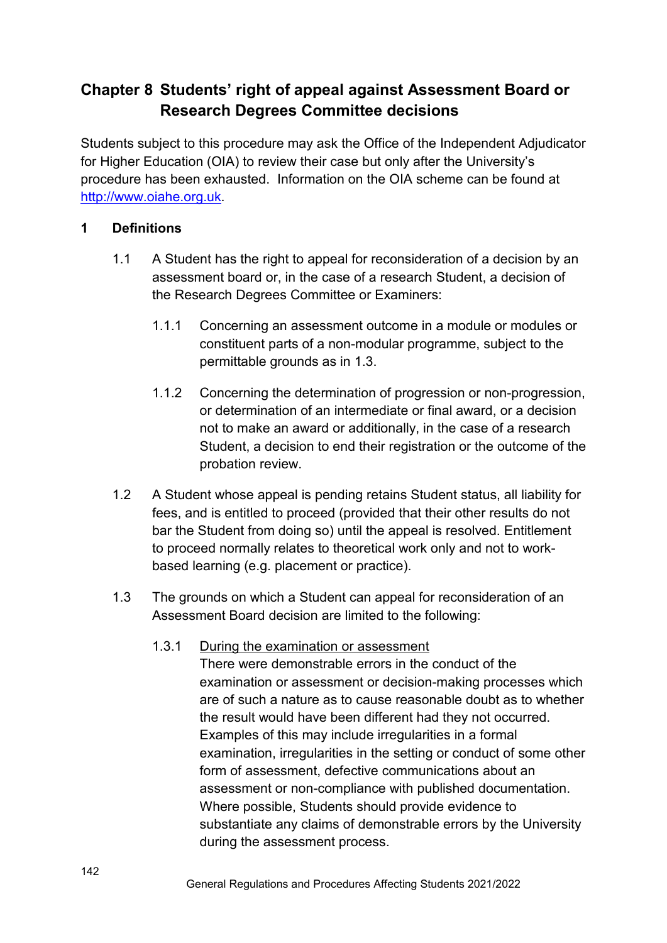# **Chapter 8 Students' right of appeal against Assessment Board or Research Degrees Committee decisions**

Students subject to this procedure may ask the Office of the Independent Adjudicator for Higher Education (OIA) to review their case but only after the University's procedure has been exhausted. Information on the OIA scheme can be found at [http://www.oiahe.org.uk.](http://www.oiahe.org.uk/)

## **1 Definitions**

- 1.1 A Student has the right to appeal for reconsideration of a decision by an assessment board or, in the case of a research Student, a decision of the Research Degrees Committee or Examiners:
	- 1.1.1 Concerning an assessment outcome in a module or modules or constituent parts of a non-modular programme, subject to the permittable grounds as in 1.3.
	- 1.1.2 Concerning the determination of progression or non-progression, or determination of an intermediate or final award, or a decision not to make an award or additionally, in the case of a research Student, a decision to end their registration or the outcome of the probation review.
- 1.2 A Student whose appeal is pending retains Student status, all liability for fees, and is entitled to proceed (provided that their other results do not bar the Student from doing so) until the appeal is resolved. Entitlement to proceed normally relates to theoretical work only and not to workbased learning (e.g. placement or practice).
- 1.3 The grounds on which a Student can appeal for reconsideration of an Assessment Board decision are limited to the following:

### 1.3.1 During the examination or assessment

There were demonstrable errors in the conduct of the examination or assessment or decision-making processes which are of such a nature as to cause reasonable doubt as to whether the result would have been different had they not occurred. Examples of this may include irregularities in a formal examination, irregularities in the setting or conduct of some other form of assessment, defective communications about an assessment or non-compliance with published documentation. Where possible, Students should provide evidence to substantiate any claims of demonstrable errors by the University during the assessment process.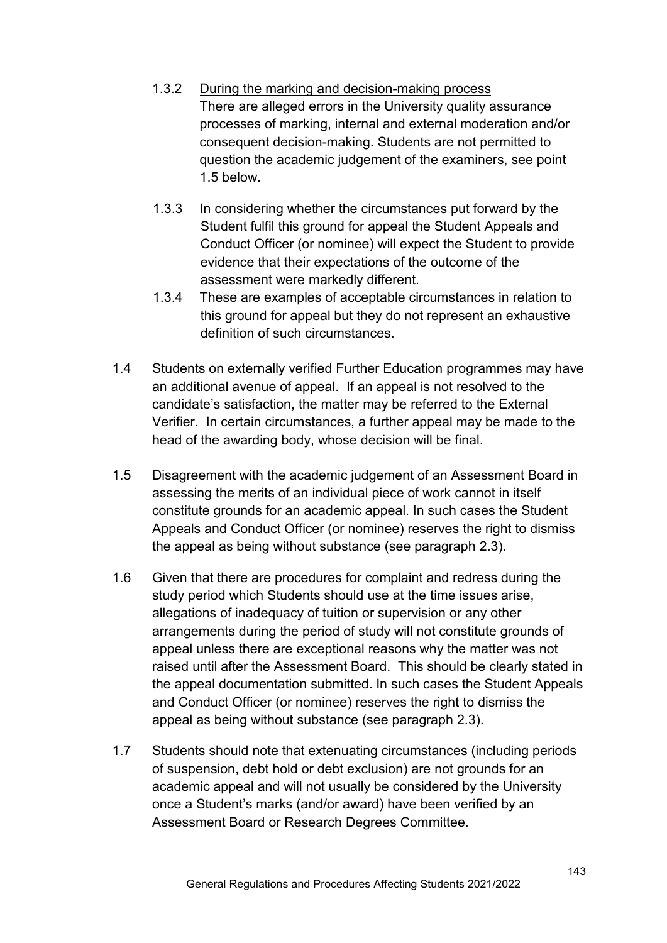- 1.3.2 During the marking and decision-making process There are alleged errors in the University quality assurance processes of marking, internal and external moderation and/or consequent decision-making. Students are not permitted to question the academic judgement of the examiners, see point 1.5 below.
- 1.3.3 In considering whether the circumstances put forward by the Student fulfil this ground for appeal the Student Appeals and Conduct Officer (or nominee) will expect the Student to provide evidence that their expectations of the outcome of the assessment were markedly different.
- 1.3.4 These are examples of acceptable circumstances in relation to this ground for appeal but they do not represent an exhaustive definition of such circumstances.
- 1.4 Students on externally verified Further Education programmes may have an additional avenue of appeal. If an appeal is not resolved to the candidate's satisfaction, the matter may be referred to the External Verifier. In certain circumstances, a further appeal may be made to the head of the awarding body, whose decision will be final.
- 1.5 Disagreement with the academic judgement of an Assessment Board in assessing the merits of an individual piece of work cannot in itself constitute grounds for an academic appeal. In such cases the Student Appeals and Conduct Officer (or nominee) reserves the right to dismiss the appeal as being without substance (see paragraph 2.3).
- 1.6 Given that there are procedures for complaint and redress during the study period which Students should use at the time issues arise, allegations of inadequacy of tuition or supervision or any other arrangements during the period of study will not constitute grounds of appeal unless there are exceptional reasons why the matter was not raised until after the Assessment Board. This should be clearly stated in the appeal documentation submitted. In such cases the Student Appeals and Conduct Officer (or nominee) reserves the right to dismiss the appeal as being without substance (see paragraph 2.3).
- 1.7 Students should note that extenuating circumstances (including periods of suspension, debt hold or debt exclusion) are not grounds for an academic appeal and will not usually be considered by the University once a Student's marks (and/or award) have been verified by an Assessment Board or Research Degrees Committee.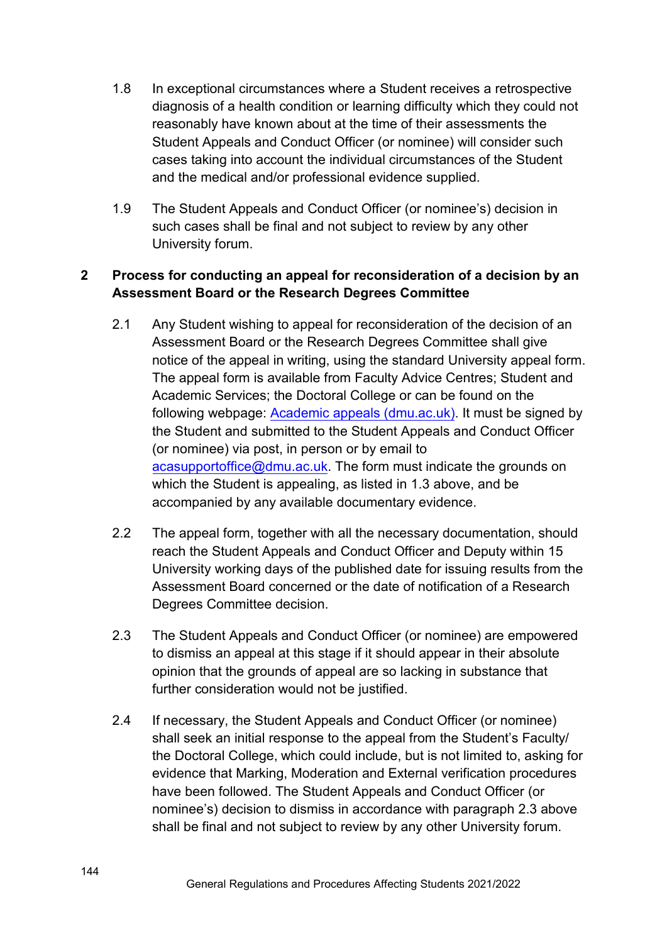- 1.8 In exceptional circumstances where a Student receives a retrospective diagnosis of a health condition or learning difficulty which they could not reasonably have known about at the time of their assessments the Student Appeals and Conduct Officer (or nominee) will consider such cases taking into account the individual circumstances of the Student and the medical and/or professional evidence supplied.
- 1.9 The Student Appeals and Conduct Officer (or nominee's) decision in such cases shall be final and not subject to review by any other University forum.

# **2 Process for conducting an appeal for reconsideration of a decision by an Assessment Board or the Research Degrees Committee**

- 2.1 Any Student wishing to appeal for reconsideration of the decision of an Assessment Board or the Research Degrees Committee shall give notice of the appeal in writing, using the standard University appeal form. The appeal form is available from Faculty Advice Centres; Student and Academic Services; the Doctoral College or can be found on the following webpage: [Academic appeals \(dmu.ac.uk\).](https://www.dmu.ac.uk/current-students/student-support/exams-deferrals-regulations-policies/student-regulations-and-policies/academic-appeals.aspx) It must be signed by the Student and submitted to the Student Appeals and Conduct Officer (or nominee) via post, in person or by email to acasupportoffice[@dmu.ac.uk](mailto:acasupport@dmu.ac.uk). The form must indicate the grounds on which the Student is appealing, as listed in 1.3 above, and be accompanied by any available documentary evidence.
- 2.2 The appeal form, together with all the necessary documentation, should reach the Student Appeals and Conduct Officer and Deputy within 15 University working days of the published date for issuing results from the Assessment Board concerned or the date of notification of a Research Degrees Committee decision.
- 2.3 The Student Appeals and Conduct Officer (or nominee) are empowered to dismiss an appeal at this stage if it should appear in their absolute opinion that the grounds of appeal are so lacking in substance that further consideration would not be justified.
- 2.4 If necessary, the Student Appeals and Conduct Officer (or nominee) shall seek an initial response to the appeal from the Student's Faculty/ the Doctoral College, which could include, but is not limited to, asking for evidence that Marking, Moderation and External verification procedures have been followed. The Student Appeals and Conduct Officer (or nominee's) decision to dismiss in accordance with paragraph 2.3 above shall be final and not subject to review by any other University forum.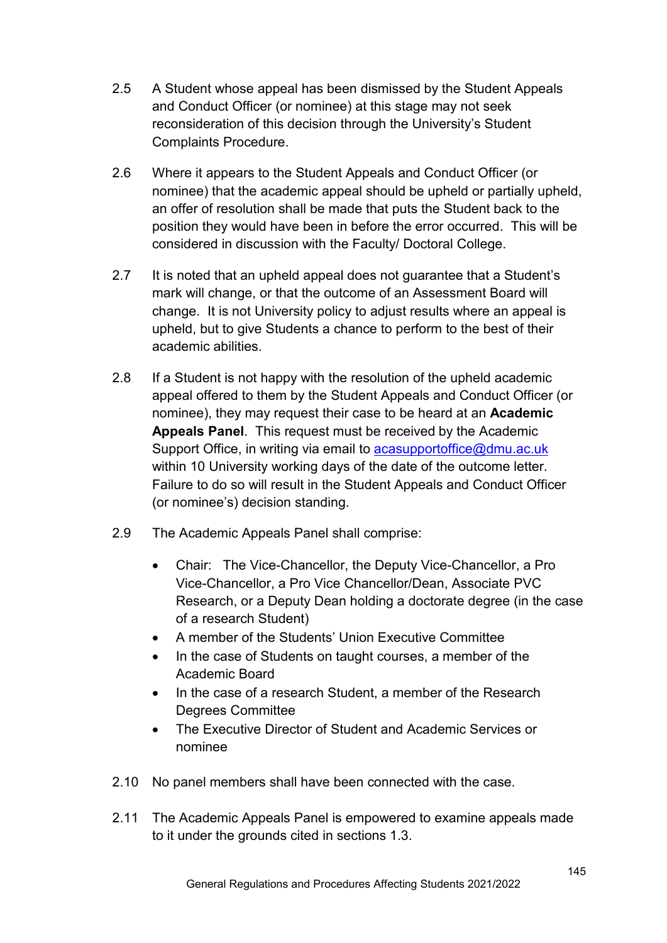- 2.5 A Student whose appeal has been dismissed by the Student Appeals and Conduct Officer (or nominee) at this stage may not seek reconsideration of this decision through the University's Student Complaints Procedure.
- 2.6 Where it appears to the Student Appeals and Conduct Officer (or nominee) that the academic appeal should be upheld or partially upheld, an offer of resolution shall be made that puts the Student back to the position they would have been in before the error occurred. This will be considered in discussion with the Faculty/ Doctoral College.
- 2.7 It is noted that an upheld appeal does not guarantee that a Student's mark will change, or that the outcome of an Assessment Board will change. It is not University policy to adjust results where an appeal is upheld, but to give Students a chance to perform to the best of their academic abilities.
- 2.8 If a Student is not happy with the resolution of the upheld academic appeal offered to them by the Student Appeals and Conduct Officer (or nominee), they may request their case to be heard at an **Academic Appeals Panel**. This request must be received by the Academic Support Office, in writing via email to [acasupportoffice@dmu.ac.uk](mailto:acasupportoffice@dmu.ac.uk) within 10 University working days of the date of the outcome letter. Failure to do so will result in the Student Appeals and Conduct Officer (or nominee's) decision standing.
- 2.9 The Academic Appeals Panel shall comprise:
	- Chair: The Vice-Chancellor, the Deputy Vice-Chancellor, a Pro Vice-Chancellor, a Pro Vice Chancellor/Dean, Associate PVC Research, or a Deputy Dean holding a doctorate degree (in the case of a research Student)
	- A member of the Students' Union Executive Committee
	- In the case of Students on taught courses, a member of the Academic Board
	- In the case of a research Student, a member of the Research Degrees Committee
	- The Executive Director of Student and Academic Services or nominee
- 2.10 No panel members shall have been connected with the case.
- 2.11 The Academic Appeals Panel is empowered to examine appeals made to it under the grounds cited in sections 1.3.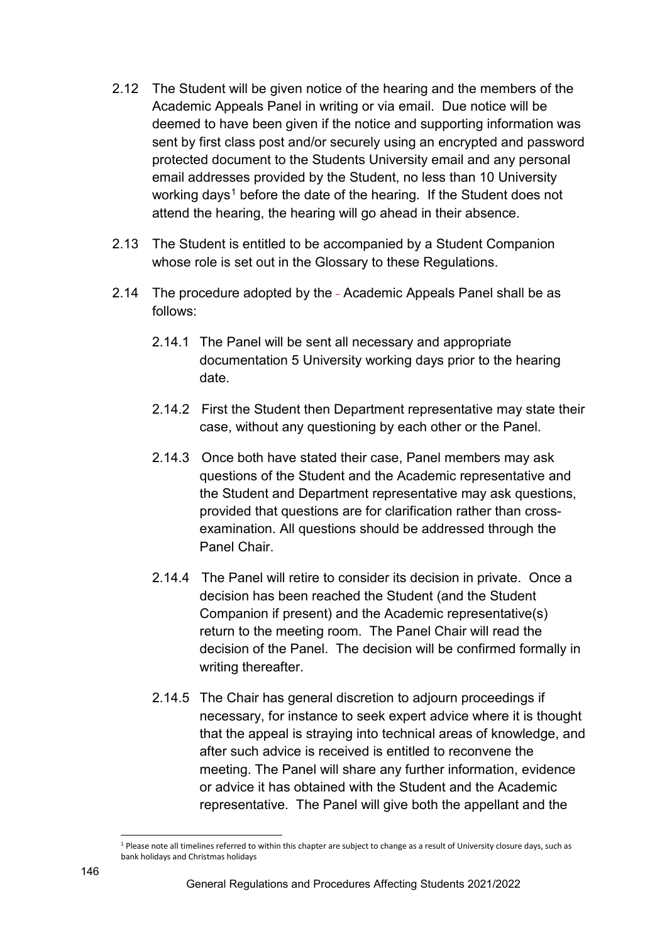- 2.12 The Student will be given notice of the hearing and the members of the Academic Appeals Panel in writing or via email. Due notice will be deemed to have been given if the notice and supporting information was sent by first class post and/or securely using an encrypted and password protected document to the Students University email and any personal email addresses provided by the Student, no less than 10 University working days<sup>[1](#page-4-0)</sup> before the date of the hearing. If the Student does not attend the hearing, the hearing will go ahead in their absence.
- 2.13 The Student is entitled to be accompanied by a Student Companion whose role is set out in the Glossary to these Regulations.
- 2.14 The procedure adopted by the Academic Appeals Panel shall be as follows:
	- 2.14.1 The Panel will be sent all necessary and appropriate documentation 5 University working days prior to the hearing date.
	- 2.14.2 First the Student then Department representative may state their case, without any questioning by each other or the Panel.
	- 2.14.3 Once both have stated their case, Panel members may ask questions of the Student and the Academic representative and the Student and Department representative may ask questions, provided that questions are for clarification rather than crossexamination. All questions should be addressed through the Panel Chair.
	- 2.14.4 The Panel will retire to consider its decision in private. Once a decision has been reached the Student (and the Student Companion if present) and the Academic representative(s) return to the meeting room. The Panel Chair will read the decision of the Panel. The decision will be confirmed formally in writing thereafter.
	- 2.14.5 The Chair has general discretion to adjourn proceedings if necessary, for instance to seek expert advice where it is thought that the appeal is straying into technical areas of knowledge, and after such advice is received is entitled to reconvene the meeting. The Panel will share any further information, evidence or advice it has obtained with the Student and the Academic representative. The Panel will give both the appellant and the

<span id="page-4-0"></span><sup>&</sup>lt;u>.</u> <sup>1</sup> Please note all timelines referred to within this chapter are subject to change as a result of University closure days, such as bank holidays and Christmas holidays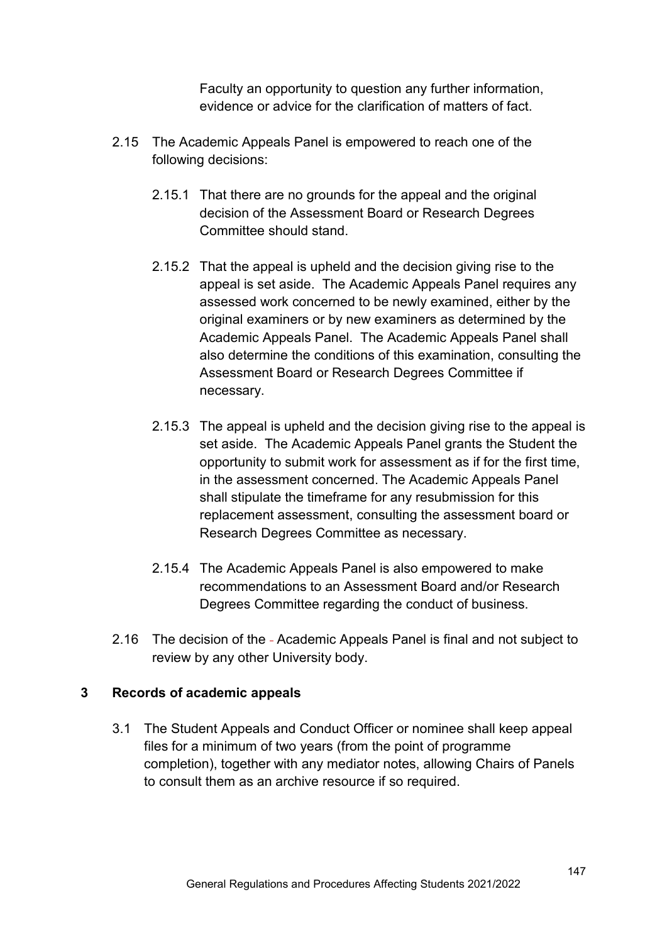Faculty an opportunity to question any further information, evidence or advice for the clarification of matters of fact.

- 2.15 The Academic Appeals Panel is empowered to reach one of the following decisions:
	- 2.15.1 That there are no grounds for the appeal and the original decision of the Assessment Board or Research Degrees Committee should stand.
	- 2.15.2 That the appeal is upheld and the decision giving rise to the appeal is set aside. The Academic Appeals Panel requires any assessed work concerned to be newly examined, either by the original examiners or by new examiners as determined by the Academic Appeals Panel. The Academic Appeals Panel shall also determine the conditions of this examination, consulting the Assessment Board or Research Degrees Committee if necessary.
	- 2.15.3 The appeal is upheld and the decision giving rise to the appeal is set aside. The Academic Appeals Panel grants the Student the opportunity to submit work for assessment as if for the first time, in the assessment concerned. The Academic Appeals Panel shall stipulate the timeframe for any resubmission for this replacement assessment, consulting the assessment board or Research Degrees Committee as necessary.
	- 2.15.4 The Academic Appeals Panel is also empowered to make recommendations to an Assessment Board and/or Research Degrees Committee regarding the conduct of business.
- 2.16 The decision of the Academic Appeals Panel is final and not subject to review by any other University body.

#### **3 Records of academic appeals**

3.1 The Student Appeals and Conduct Officer or nominee shall keep appeal files for a minimum of two years (from the point of programme completion), together with any mediator notes, allowing Chairs of Panels to consult them as an archive resource if so required.